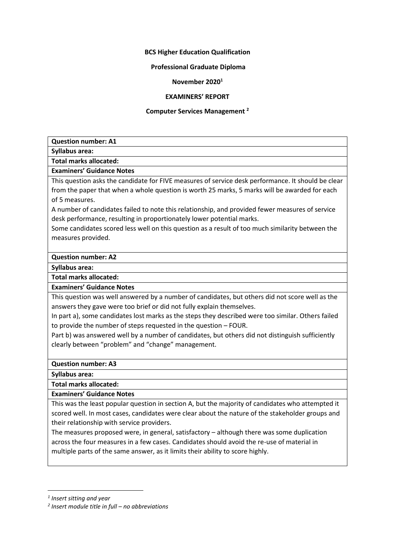## **BCS Higher Education Qualification**

## **Professional Graduate Diploma**

#### **November 2020<sup>1</sup>**

#### **EXAMINERS' REPORT**

#### **Computer Services Management <sup>2</sup>**

| <b>Question number: A1</b> |  |  |  |
|----------------------------|--|--|--|
|----------------------------|--|--|--|

**Syllabus area:**

**Total marks allocated:**

**Examiners' Guidance Notes**

This question asks the candidate for FIVE measures of service desk performance. It should be clear from the paper that when a whole question is worth 25 marks, 5 marks will be awarded for each of 5 measures.

A number of candidates failed to note this relationship, and provided fewer measures of service desk performance, resulting in proportionately lower potential marks.

Some candidates scored less well on this question as a result of too much similarity between the measures provided.

**Question number: A2**

**Syllabus area:**

**Total marks allocated:**

**Examiners' Guidance Notes**

This question was well answered by a number of candidates, but others did not score well as the answers they gave were too brief or did not fully explain themselves.

In part a), some candidates lost marks as the steps they described were too similar. Others failed to provide the number of steps requested in the question – FOUR.

Part b) was answered well by a number of candidates, but others did not distinguish sufficiently clearly between "problem" and "change" management.

**Question number: A3**

**Syllabus area:**

**Total marks allocated:**

**Examiners' Guidance Notes**

This was the least popular question in section A, but the majority of candidates who attempted it scored well. In most cases, candidates were clear about the nature of the stakeholder groups and their relationship with service providers.

The measures proposed were, in general, satisfactory – although there was some duplication across the four measures in a few cases. Candidates should avoid the re-use of material in multiple parts of the same answer, as it limits their ability to score highly.

*<sup>1</sup> Insert sitting and year*

*<sup>2</sup> Insert module title in full – no abbreviations*